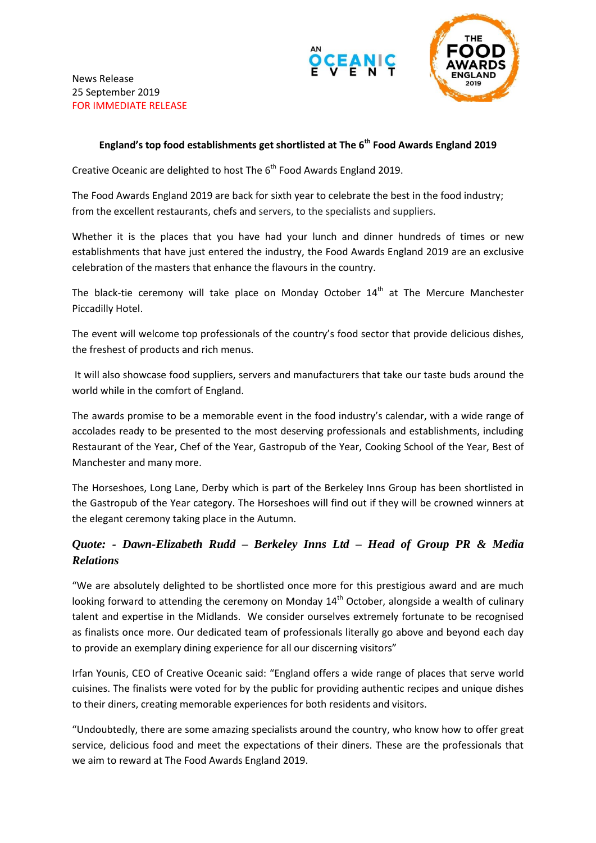





## **England's top food establishments get shortlisted at The 6th Food Awards England 2019**

Creative Oceanic are delighted to host The 6<sup>th</sup> Food Awards England 2019.

The Food Awards England 2019 are back for sixth year to celebrate the best in the food industry; from the excellent restaurants, chefs and servers, to the specialists and suppliers.

Whether it is the places that you have had your lunch and dinner hundreds of times or new establishments that have just entered the industry, the Food Awards England 2019 are an exclusive celebration of the masters that enhance the flavours in the country.

The black-tie ceremony will take place on Monday October  $14<sup>th</sup>$  at The Mercure Manchester Piccadilly Hotel.

The event will welcome top professionals of the country's food sector that provide delicious dishes, the freshest of products and rich menus.

It will also showcase food suppliers, servers and manufacturers that take our taste buds around the world while in the comfort of England.

The awards promise to be a memorable event in the food industry's calendar, with a wide range of accolades ready to be presented to the most deserving professionals and establishments, including Restaurant of the Year, Chef of the Year, Gastropub of the Year, Cooking School of the Year, Best of Manchester and many more.

The Horseshoes, Long Lane, Derby which is part of the Berkeley Inns Group has been shortlisted in the Gastropub of the Year category. The Horseshoes will find out if they will be crowned winners at the elegant ceremony taking place in the Autumn.

## *Quote: - Dawn-Elizabeth Rudd – Berkeley Inns Ltd – Head of Group PR & Media Relations*

"We are absolutely delighted to be shortlisted once more for this prestigious award and are much looking forward to attending the ceremony on Monday 14<sup>th</sup> October, alongside a wealth of culinary talent and expertise in the Midlands. We consider ourselves extremely fortunate to be recognised as finalists once more. Our dedicated team of professionals literally go above and beyond each day to provide an exemplary dining experience for all our discerning visitors"

Irfan Younis, CEO of Creative Oceanic said: "England offers a wide range of places that serve world cuisines. The finalists were voted for by the public for providing authentic recipes and unique dishes to their diners, creating memorable experiences for both residents and visitors.

"Undoubtedly, there are some amazing specialists around the country, who know how to offer great service, delicious food and meet the expectations of their diners. These are the professionals that we aim to reward at The Food Awards England 2019.